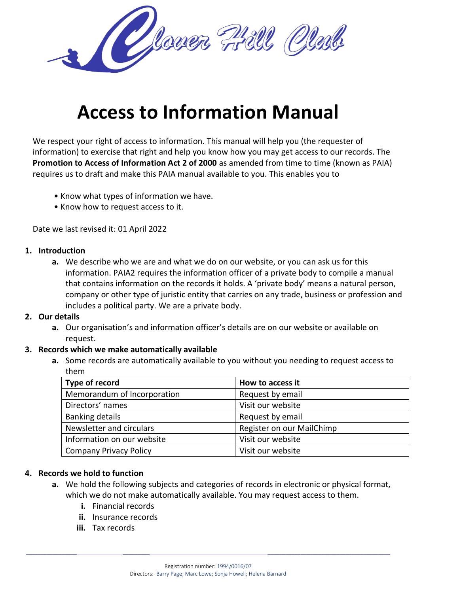

# **Access to Information Manual**

We respect your right of access to information. This manual will help you (the requester of information) to exercise that right and help you know how you may get access to our records. The **Promotion to Access of Information Act 2 of 2000** as amended from time to time (known as PAIA) requires us to draft and make this PAIA manual available to you. This enables you to

- Know what types of information we have.
- Know how to request access to it.

Date we last revised it: 01 April 2022

### **1. Introduction**

**a.** We describe who we are and what we do on our website, or you can ask us for this information. PAIA2 requires the information officer of a private body to compile a manual that contains information on the records it holds. A 'private body' means a natural person, company or other type of juristic entity that carries on any trade, business or profession and includes a political party. We are a private body.

### **2. Our details**

**a.** Our organisation's and information officer's details are on our website or available on request.

### **3. Records which we make automatically available**

**a.** Some records are automatically available to you without you needing to request access to them

| Type of record                | How to access it          |
|-------------------------------|---------------------------|
| Memorandum of Incorporation   | Request by email          |
| Directors' names              | Visit our website         |
| <b>Banking details</b>        | Request by email          |
| Newsletter and circulars      | Register on our MailChimp |
| Information on our website    | Visit our website         |
| <b>Company Privacy Policy</b> | Visit our website         |

## **4. Records we hold to function**

- **a.** We hold the following subjects and categories of records in electronic or physical format, which we do not make automatically available. You may request access to them.
	- **i.** Financial records
	- **ii.** Insurance records
	- **iii.** Tax records

 $\_$  , and the set of the set of the set of the set of the set of the set of the set of the set of the set of the set of the set of the set of the set of the set of the set of the set of the set of the set of the set of th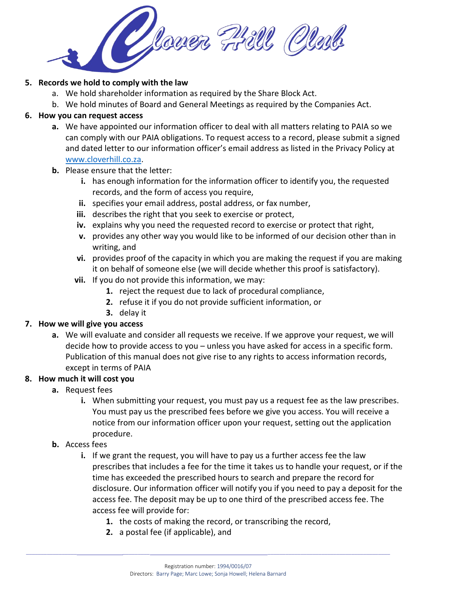

## **5. Records we hold to comply with the law**

- a. We hold shareholder information as required by the Share Block Act.
- b. We hold minutes of Board and General Meetings as required by the Companies Act.

## **6. How you can request access**

- **a.** We have appointed our information officer to deal with all matters relating to PAIA so we can comply with our PAIA obligations. To request access to a record, please submit a signed and dated letter to our information officer's email address as listed in the Privacy Policy at [www.cloverhill.co.za.](http://www.cloverhill.co.za/)
- **b.** Please ensure that the letter:
	- **i.** has enough information for the information officer to identify you, the requested records, and the form of access you require,
	- **ii.** specifies your email address, postal address, or fax number,
	- **iii.** describes the right that you seek to exercise or protect,
	- **iv.** explains why you need the requested record to exercise or protect that right,
	- **v.** provides any other way you would like to be informed of our decision other than in writing, and
	- **vi.** provides proof of the capacity in which you are making the request if you are making it on behalf of someone else (we will decide whether this proof is satisfactory).
	- **vii.** If you do not provide this information, we may:
		- **1.** reject the request due to lack of procedural compliance,
		- **2.** refuse it if you do not provide sufficient information, or
		- **3.** delay it

## **7. How we will give you access**

**a.** We will evaluate and consider all requests we receive. If we approve your request, we will decide how to provide access to you – unless you have asked for access in a specific form. Publication of this manual does not give rise to any rights to access information records, except in terms of PAIA

## **8. How much it will cost you**

- **a.** Request fees
	- **i.** When submitting your request, you must pay us a request fee as the law prescribes. You must pay us the prescribed fees before we give you access. You will receive a notice from our information officer upon your request, setting out the application procedure.
- **b.** Access fees
	- **i.** If we grant the request, you will have to pay us a further access fee the law prescribes that includes a fee for the time it takes us to handle your request, or if the time has exceeded the prescribed hours to search and prepare the record for disclosure. Our information officer will notify you if you need to pay a deposit for the access fee. The deposit may be up to one third of the prescribed access fee. The access fee will provide for:
		- **1.** the costs of making the record, or transcribing the record,
		- **2.** a postal fee (if applicable), and

 $\_$  , and the set of the set of the set of the set of the set of the set of the set of the set of the set of the set of the set of the set of the set of the set of the set of the set of the set of the set of the set of th